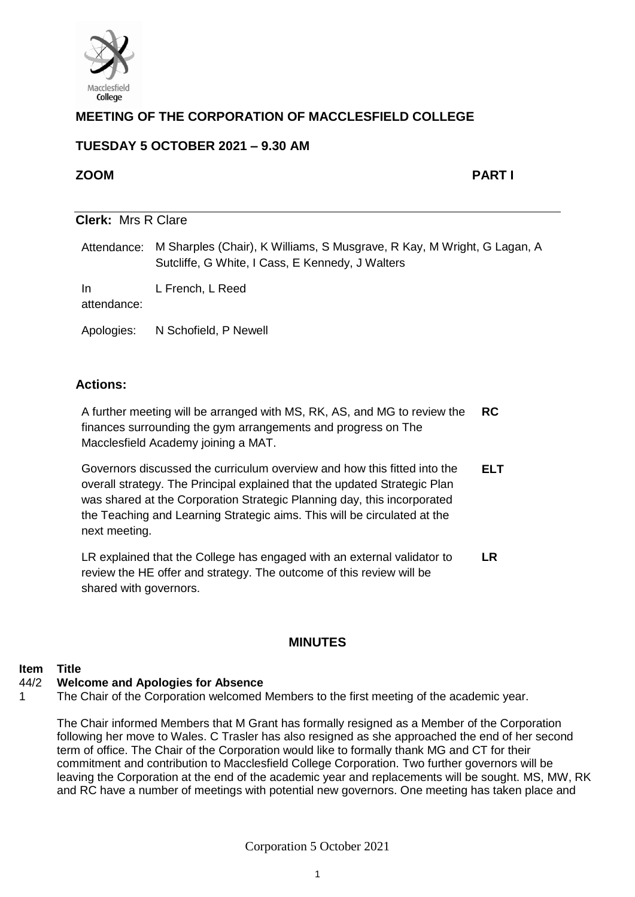

## **MEETING OF THE CORPORATION OF MACCLESFIELD COLLEGE**

## **TUESDAY 5 OCTOBER 2021 – 9.30 AM**

## **ZOOM PART I**

# **Clerk:** Mrs R Clare Attendance: M Sharples (Chair), K Williams, S Musgrave, R Kay, M Wright, G Lagan, A Sutcliffe, G White, I Cass, E Kennedy, J Walters

In L French, L Reed

attendance:

Apologies: N Schofield, P Newell

## **Actions:**

A further meeting will be arranged with MS, RK, AS, and MG to review the finances surrounding the gym arrangements and progress on The Macclesfield Academy joining a MAT. **RC** 

Governors discussed the curriculum overview and how this fitted into the overall strategy. The Principal explained that the updated Strategic Plan was shared at the Corporation Strategic Planning day, this incorporated the Teaching and Learning Strategic aims. This will be circulated at the next meeting. **ELT**

LR explained that the College has engaged with an external validator to review the HE offer and strategy. The outcome of this review will be shared with governors. **LR**

## **MINUTES**

### **Item Title**

#### 44/2 **Welcome and Apologies for Absence**

1 The Chair of the Corporation welcomed Members to the first meeting of the academic year.

The Chair informed Members that M Grant has formally resigned as a Member of the Corporation following her move to Wales. C Trasler has also resigned as she approached the end of her second term of office. The Chair of the Corporation would like to formally thank MG and CT for their commitment and contribution to Macclesfield College Corporation. Two further governors will be leaving the Corporation at the end of the academic year and replacements will be sought. MS, MW, RK and RC have a number of meetings with potential new governors. One meeting has taken place and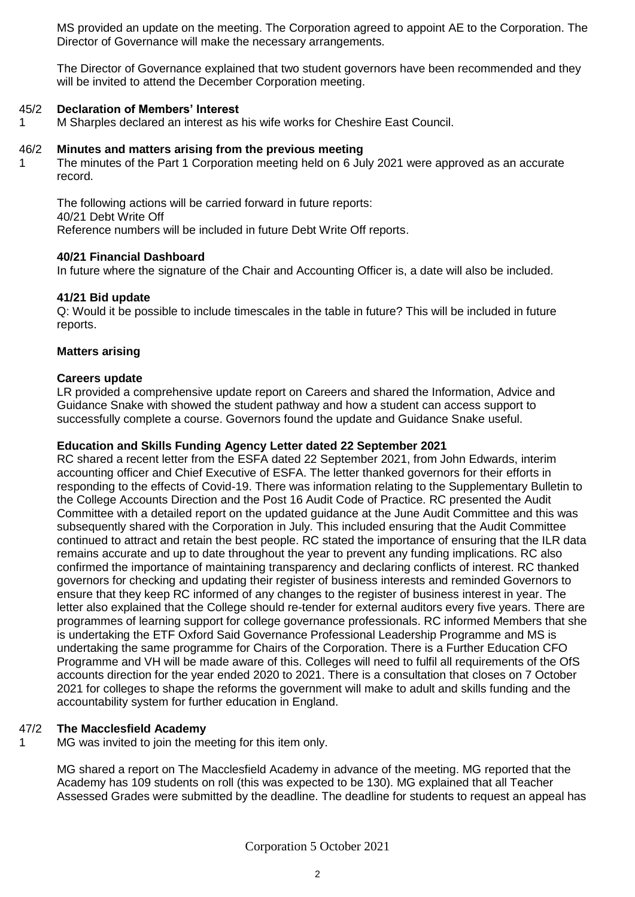MS provided an update on the meeting. The Corporation agreed to appoint AE to the Corporation. The Director of Governance will make the necessary arrangements.

The Director of Governance explained that two student governors have been recommended and they will be invited to attend the December Corporation meeting.

#### 45/2 **Declaration of Members' Interest**

1 M Sharples declared an interest as his wife works for Cheshire East Council.

#### 46/2 **Minutes and matters arising from the previous meeting**

The minutes of the Part 1 Corporation meeting held on 6 July 2021 were approved as an accurate record.

The following actions will be carried forward in future reports: 40/21 Debt Write Off Reference numbers will be included in future Debt Write Off reports.

### **40/21 Financial Dashboard**

In future where the signature of the Chair and Accounting Officer is, a date will also be included.

### **41/21 Bid update**

1

Q: Would it be possible to include timescales in the table in future? This will be included in future reports.

### **Matters arising**

### **Careers update**

LR provided a comprehensive update report on Careers and shared the Information, Advice and Guidance Snake with showed the student pathway and how a student can access support to successfully complete a course. Governors found the update and Guidance Snake useful.

### **Education and Skills Funding Agency Letter dated 22 September 2021**

RC shared a recent letter from the ESFA dated 22 September 2021, from John Edwards, interim accounting officer and Chief Executive of ESFA. The letter thanked governors for their efforts in responding to the effects of Covid-19. There was information relating to the Supplementary Bulletin to the College Accounts Direction and the Post 16 Audit Code of Practice. RC presented the Audit Committee with a detailed report on the updated guidance at the June Audit Committee and this was subsequently shared with the Corporation in July. This included ensuring that the Audit Committee continued to attract and retain the best people. RC stated the importance of ensuring that the ILR data remains accurate and up to date throughout the year to prevent any funding implications. RC also confirmed the importance of maintaining transparency and declaring conflicts of interest. RC thanked governors for checking and updating their register of business interests and reminded Governors to ensure that they keep RC informed of any changes to the register of business interest in year. The letter also explained that the College should re-tender for external auditors every five years. There are programmes of learning support for college governance professionals. RC informed Members that she is undertaking the ETF Oxford Said Governance Professional Leadership Programme and MS is undertaking the same programme for Chairs of the Corporation. There is a Further Education CFO Programme and VH will be made aware of this. Colleges will need to fulfil all requirements of the OfS accounts direction for the year ended 2020 to 2021. There is a consultation that closes on 7 October 2021 for colleges to shape the reforms the government will make to adult and skills funding and the accountability system for further education in England.

#### 47/2 **The Macclesfield Academy**

1 MG was invited to join the meeting for this item only.

> MG shared a report on The Macclesfield Academy in advance of the meeting. MG reported that the Academy has 109 students on roll (this was expected to be 130). MG explained that all Teacher Assessed Grades were submitted by the deadline. The deadline for students to request an appeal has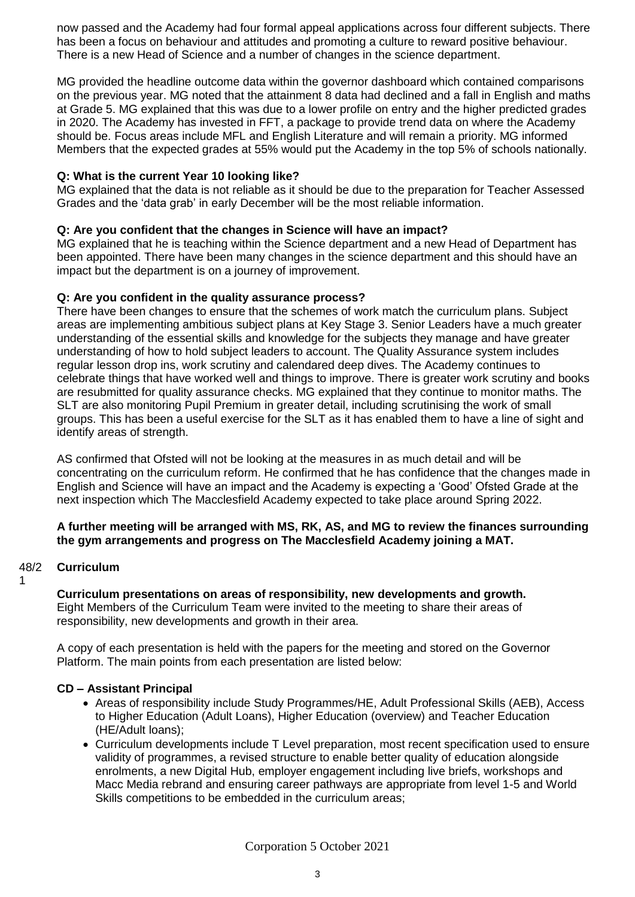now passed and the Academy had four formal appeal applications across four different subjects. There has been a focus on behaviour and attitudes and promoting a culture to reward positive behaviour. There is a new Head of Science and a number of changes in the science department.

MG provided the headline outcome data within the governor dashboard which contained comparisons on the previous year. MG noted that the attainment 8 data had declined and a fall in English and maths at Grade 5. MG explained that this was due to a lower profile on entry and the higher predicted grades in 2020. The Academy has invested in FFT, a package to provide trend data on where the Academy should be. Focus areas include MFL and English Literature and will remain a priority. MG informed Members that the expected grades at 55% would put the Academy in the top 5% of schools nationally.

### **Q: What is the current Year 10 looking like?**

MG explained that the data is not reliable as it should be due to the preparation for Teacher Assessed Grades and the 'data grab' in early December will be the most reliable information.

## **Q: Are you confident that the changes in Science will have an impact?**

MG explained that he is teaching within the Science department and a new Head of Department has been appointed. There have been many changes in the science department and this should have an impact but the department is on a journey of improvement.

## **Q: Are you confident in the quality assurance process?**

There have been changes to ensure that the schemes of work match the curriculum plans. Subject areas are implementing ambitious subject plans at Key Stage 3. Senior Leaders have a much greater understanding of the essential skills and knowledge for the subjects they manage and have greater understanding of how to hold subject leaders to account. The Quality Assurance system includes regular lesson drop ins, work scrutiny and calendared deep dives. The Academy continues to celebrate things that have worked well and things to improve. There is greater work scrutiny and books are resubmitted for quality assurance checks. MG explained that they continue to monitor maths. The SLT are also monitoring Pupil Premium in greater detail, including scrutinising the work of small groups. This has been a useful exercise for the SLT as it has enabled them to have a line of sight and identify areas of strength.

AS confirmed that Ofsted will not be looking at the measures in as much detail and will be concentrating on the curriculum reform. He confirmed that he has confidence that the changes made in English and Science will have an impact and the Academy is expecting a 'Good' Ofsted Grade at the next inspection which The Macclesfield Academy expected to take place around Spring 2022.

### **A further meeting will be arranged with MS, RK, AS, and MG to review the finances surrounding the gym arrangements and progress on The Macclesfield Academy joining a MAT.**

#### 48/2 **Curriculum**

1

**Curriculum presentations on areas of responsibility, new developments and growth.** Eight Members of the Curriculum Team were invited to the meeting to share their areas of

responsibility, new developments and growth in their area.

A copy of each presentation is held with the papers for the meeting and stored on the Governor Platform. The main points from each presentation are listed below:

## **CD – Assistant Principal**

- Areas of responsibility include Study Programmes/HE, Adult Professional Skills (AEB), Access to Higher Education (Adult Loans), Higher Education (overview) and Teacher Education (HE/Adult loans);
- Curriculum developments include T Level preparation, most recent specification used to ensure validity of programmes, a revised structure to enable better quality of education alongside enrolments, a new Digital Hub, employer engagement including live briefs, workshops and Macc Media rebrand and ensuring career pathways are appropriate from level 1-5 and World Skills competitions to be embedded in the curriculum areas;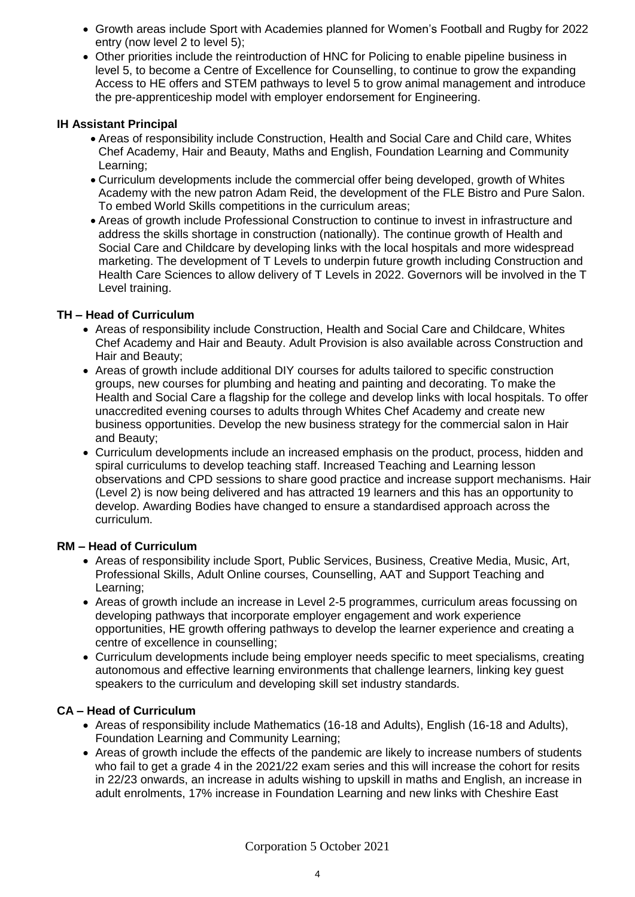- Growth areas include Sport with Academies planned for Women's Football and Rugby for 2022 entry (now level 2 to level 5);
- Other priorities include the reintroduction of HNC for Policing to enable pipeline business in level 5, to become a Centre of Excellence for Counselling, to continue to grow the expanding Access to HE offers and STEM pathways to level 5 to grow animal management and introduce the pre-apprenticeship model with employer endorsement for Engineering.

## **IH Assistant Principal**

- Areas of responsibility include Construction, Health and Social Care and Child care, Whites Chef Academy, Hair and Beauty, Maths and English, Foundation Learning and Community Learning;
- Curriculum developments include the commercial offer being developed, growth of Whites Academy with the new patron Adam Reid, the development of the FLE Bistro and Pure Salon. To embed World Skills competitions in the curriculum areas;
- Areas of growth include Professional Construction to continue to invest in infrastructure and address the skills shortage in construction (nationally). The continue growth of Health and Social Care and Childcare by developing links with the local hospitals and more widespread marketing. The development of T Levels to underpin future growth including Construction and Health Care Sciences to allow delivery of T Levels in 2022. Governors will be involved in the T Level training.

## **TH – Head of Curriculum**

- Areas of responsibility include Construction, Health and Social Care and Childcare, Whites Chef Academy and Hair and Beauty. Adult Provision is also available across Construction and Hair and Beauty;
- Areas of growth include additional DIY courses for adults tailored to specific construction groups, new courses for plumbing and heating and painting and decorating. To make the Health and Social Care a flagship for the college and develop links with local hospitals. To offer unaccredited evening courses to adults through Whites Chef Academy and create new business opportunities. Develop the new business strategy for the commercial salon in Hair and Beauty;
- Curriculum developments include an increased emphasis on the product, process, hidden and spiral curriculums to develop teaching staff. Increased Teaching and Learning lesson observations and CPD sessions to share good practice and increase support mechanisms. Hair (Level 2) is now being delivered and has attracted 19 learners and this has an opportunity to develop. Awarding Bodies have changed to ensure a standardised approach across the curriculum.

### **RM – Head of Curriculum**

- Areas of responsibility include Sport, Public Services, Business, Creative Media, Music, Art, Professional Skills, Adult Online courses, Counselling, AAT and Support Teaching and Learning;
- Areas of growth include an increase in Level 2-5 programmes, curriculum areas focussing on developing pathways that incorporate employer engagement and work experience opportunities, HE growth offering pathways to develop the learner experience and creating a centre of excellence in counselling;
- Curriculum developments include being employer needs specific to meet specialisms, creating autonomous and effective learning environments that challenge learners, linking key guest speakers to the curriculum and developing skill set industry standards.

## **CA – Head of Curriculum**

- Areas of responsibility include Mathematics (16-18 and Adults), English (16-18 and Adults), Foundation Learning and Community Learning;
- Areas of growth include the effects of the pandemic are likely to increase numbers of students who fail to get a grade 4 in the 2021/22 exam series and this will increase the cohort for resits in 22/23 onwards, an increase in adults wishing to upskill in maths and English, an increase in adult enrolments, 17% increase in Foundation Learning and new links with Cheshire East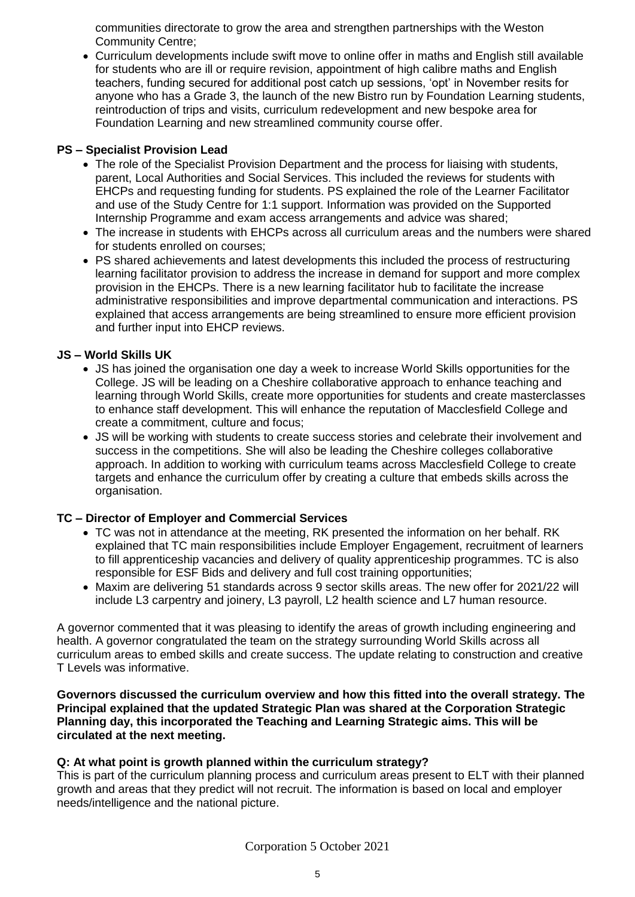communities directorate to grow the area and strengthen partnerships with the Weston Community Centre;

• Curriculum developments include swift move to online offer in maths and English still available for students who are ill or require revision, appointment of high calibre maths and English teachers, funding secured for additional post catch up sessions, 'opt' in November resits for anyone who has a Grade 3, the launch of the new Bistro run by Foundation Learning students, reintroduction of trips and visits, curriculum redevelopment and new bespoke area for Foundation Learning and new streamlined community course offer.

## **PS – Specialist Provision Lead**

- The role of the Specialist Provision Department and the process for liaising with students, parent, Local Authorities and Social Services. This included the reviews for students with EHCPs and requesting funding for students. PS explained the role of the Learner Facilitator and use of the Study Centre for 1:1 support. Information was provided on the Supported Internship Programme and exam access arrangements and advice was shared;
- The increase in students with EHCPs across all curriculum areas and the numbers were shared for students enrolled on courses;
- PS shared achievements and latest developments this included the process of restructuring learning facilitator provision to address the increase in demand for support and more complex provision in the EHCPs. There is a new learning facilitator hub to facilitate the increase administrative responsibilities and improve departmental communication and interactions. PS explained that access arrangements are being streamlined to ensure more efficient provision and further input into EHCP reviews.

## **JS – World Skills UK**

- JS has joined the organisation one day a week to increase World Skills opportunities for the College. JS will be leading on a Cheshire collaborative approach to enhance teaching and learning through World Skills, create more opportunities for students and create masterclasses to enhance staff development. This will enhance the reputation of Macclesfield College and create a commitment, culture and focus;
- JS will be working with students to create success stories and celebrate their involvement and success in the competitions. She will also be leading the Cheshire colleges collaborative approach. In addition to working with curriculum teams across Macclesfield College to create targets and enhance the curriculum offer by creating a culture that embeds skills across the organisation.

## **TC – Director of Employer and Commercial Services**

- TC was not in attendance at the meeting, RK presented the information on her behalf. RK explained that TC main responsibilities include Employer Engagement, recruitment of learners to fill apprenticeship vacancies and delivery of quality apprenticeship programmes. TC is also responsible for ESF Bids and delivery and full cost training opportunities;
- Maxim are delivering 51 standards across 9 sector skills areas. The new offer for 2021/22 will include L3 carpentry and joinery, L3 payroll, L2 health science and L7 human resource.

A governor commented that it was pleasing to identify the areas of growth including engineering and health. A governor congratulated the team on the strategy surrounding World Skills across all curriculum areas to embed skills and create success. The update relating to construction and creative T Levels was informative.

**Governors discussed the curriculum overview and how this fitted into the overall strategy. The Principal explained that the updated Strategic Plan was shared at the Corporation Strategic Planning day, this incorporated the Teaching and Learning Strategic aims. This will be circulated at the next meeting.** 

## **Q: At what point is growth planned within the curriculum strategy?**

This is part of the curriculum planning process and curriculum areas present to ELT with their planned growth and areas that they predict will not recruit. The information is based on local and employer needs/intelligence and the national picture.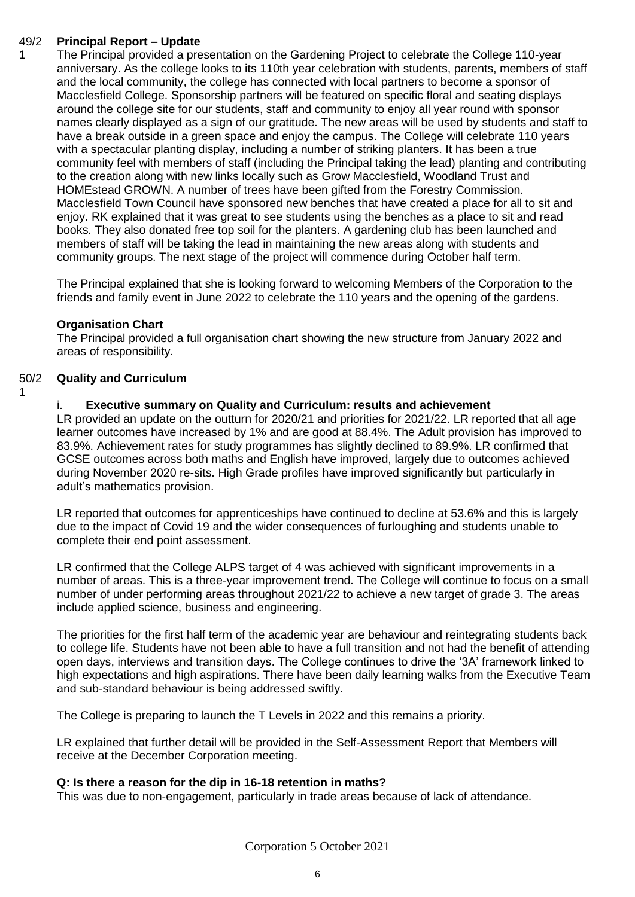#### 49/2 **Principal Report – Update**

1

1

The Principal provided a presentation on the Gardening Project to celebrate the College 110-year anniversary. As the college looks to its 110th year celebration with students, parents, members of staff and the local community, the college has connected with local partners to become a sponsor of Macclesfield College. Sponsorship partners will be featured on specific floral and seating displays around the college site for our students, staff and community to enjoy all year round with sponsor names clearly displayed as a sign of our gratitude. The new areas will be used by students and staff to have a break outside in a green space and enjoy the campus. The College will celebrate 110 years with a spectacular planting display, including a number of striking planters. It has been a true community feel with members of staff (including the Principal taking the lead) planting and contributing to the creation along with new links locally such as Grow Macclesfield, Woodland Trust and HOMEstead GROWN. A number of trees have been gifted from the Forestry Commission. Macclesfield Town Council have sponsored new benches that have created a place for all to sit and enjoy. RK explained that it was great to see students using the benches as a place to sit and read books. They also donated free top soil for the planters. A gardening club has been launched and members of staff will be taking the lead in maintaining the new areas along with students and community groups. The next stage of the project will commence during October half term.

The Principal explained that she is looking forward to welcoming Members of the Corporation to the friends and family event in June 2022 to celebrate the 110 years and the opening of the gardens.

### **Organisation Chart**

The Principal provided a full organisation chart showing the new structure from January 2022 and areas of responsibility.

#### 50/2 **Quality and Curriculum**

i. **Executive summary on Quality and Curriculum: results and achievement** 

LR provided an update on the outturn for 2020/21 and priorities for 2021/22. LR reported that all age learner outcomes have increased by 1% and are good at 88.4%. The Adult provision has improved to 83.9%. Achievement rates for study programmes has slightly declined to 89.9%. LR confirmed that GCSE outcomes across both maths and English have improved, largely due to outcomes achieved during November 2020 re-sits. High Grade profiles have improved significantly but particularly in adult's mathematics provision.

LR reported that outcomes for apprenticeships have continued to decline at 53.6% and this is largely due to the impact of Covid 19 and the wider consequences of furloughing and students unable to complete their end point assessment.

LR confirmed that the College ALPS target of 4 was achieved with significant improvements in a number of areas. This is a three-year improvement trend. The College will continue to focus on a small number of under performing areas throughout 2021/22 to achieve a new target of grade 3. The areas include applied science, business and engineering.

The priorities for the first half term of the academic year are behaviour and reintegrating students back to college life. Students have not been able to have a full transition and not had the benefit of attending open days, interviews and transition days. The College continues to drive the '3A' framework linked to high expectations and high aspirations. There have been daily learning walks from the Executive Team and sub-standard behaviour is being addressed swiftly.

The College is preparing to launch the T Levels in 2022 and this remains a priority.

LR explained that further detail will be provided in the Self-Assessment Report that Members will receive at the December Corporation meeting.

### **Q: Is there a reason for the dip in 16-18 retention in maths?**

This was due to non-engagement, particularly in trade areas because of lack of attendance.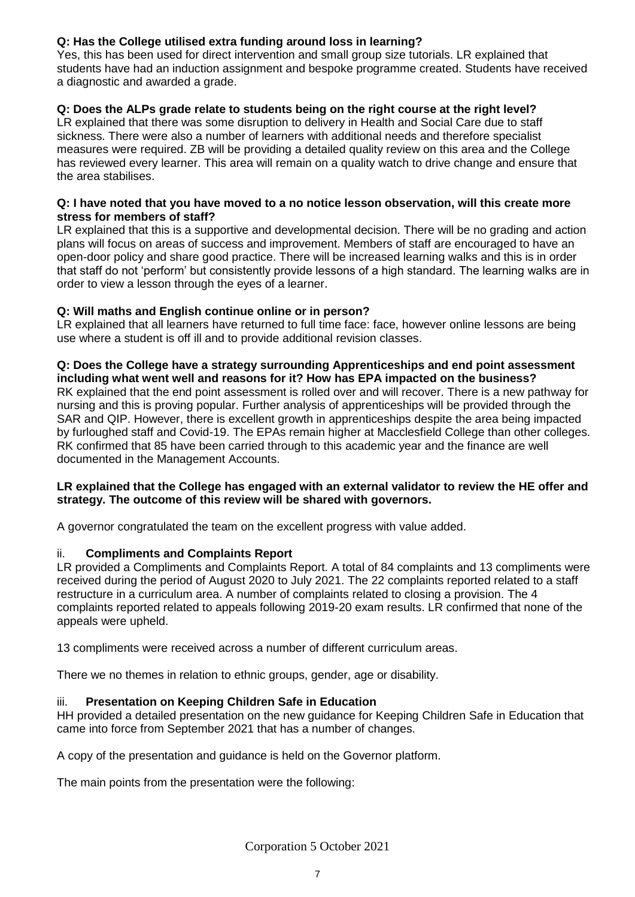## **Q: Has the College utilised extra funding around loss in learning?**

Yes, this has been used for direct intervention and small group size tutorials. LR explained that students have had an induction assignment and bespoke programme created. Students have received a diagnostic and awarded a grade.

## **Q: Does the ALPs grade relate to students being on the right course at the right level?**

LR explained that there was some disruption to delivery in Health and Social Care due to staff sickness. There were also a number of learners with additional needs and therefore specialist measures were required. ZB will be providing a detailed quality review on this area and the College has reviewed every learner. This area will remain on a quality watch to drive change and ensure that the area stabilises.

### **Q: I have noted that you have moved to a no notice lesson observation, will this create more stress for members of staff?**

LR explained that this is a supportive and developmental decision. There will be no grading and action plans will focus on areas of success and improvement. Members of staff are encouraged to have an open-door policy and share good practice. There will be increased learning walks and this is in order that staff do not 'perform' but consistently provide lessons of a high standard. The learning walks are in order to view a lesson through the eyes of a learner.

## **Q: Will maths and English continue online or in person?**

LR explained that all learners have returned to full time face: face, however online lessons are being use where a student is off ill and to provide additional revision classes.

### **Q: Does the College have a strategy surrounding Apprenticeships and end point assessment including what went well and reasons for it? How has EPA impacted on the business?**

RK explained that the end point assessment is rolled over and will recover. There is a new pathway for nursing and this is proving popular. Further analysis of apprenticeships will be provided through the SAR and QIP. However, there is excellent growth in apprenticeships despite the area being impacted by furloughed staff and Covid-19. The EPAs remain higher at Macclesfield College than other colleges. RK confirmed that 85 have been carried through to this academic year and the finance are well documented in the Management Accounts.

### **LR explained that the College has engaged with an external validator to review the HE offer and strategy. The outcome of this review will be shared with governors.**

A governor congratulated the team on the excellent progress with value added.

## ii. **Compliments and Complaints Report**

LR provided a Compliments and Complaints Report. A total of 84 complaints and 13 compliments were received during the period of August 2020 to July 2021. The 22 complaints reported related to a staff restructure in a curriculum area. A number of complaints related to closing a provision. The 4 complaints reported related to appeals following 2019-20 exam results. LR confirmed that none of the appeals were upheld.

13 compliments were received across a number of different curriculum areas.

There we no themes in relation to ethnic groups, gender, age or disability.

## iii. **Presentation on Keeping Children Safe in Education**

HH provided a detailed presentation on the new guidance for Keeping Children Safe in Education that came into force from September 2021 that has a number of changes.

A copy of the presentation and guidance is held on the Governor platform.

The main points from the presentation were the following: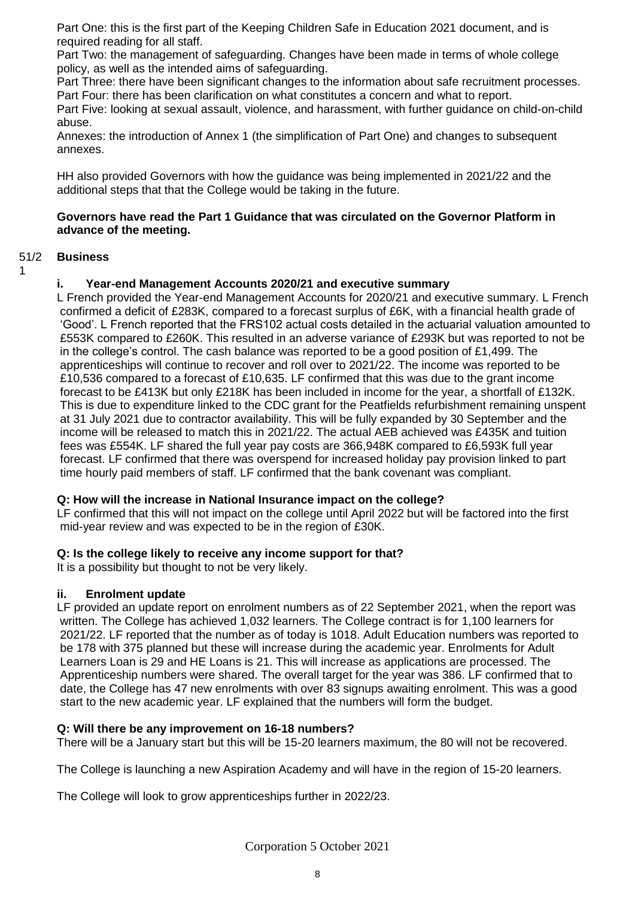Part One: this is the first part of the Keeping Children Safe in Education 2021 document, and is required reading for all staff.

Part Two: the management of safeguarding. Changes have been made in terms of whole college policy, as well as the intended aims of safeguarding.

Part Three: there have been significant changes to the information about safe recruitment processes. Part Four: there has been clarification on what constitutes a concern and what to report.

Part Five: looking at sexual assault, violence, and harassment, with further guidance on child-on-child abuse.

Annexes: the introduction of Annex 1 (the simplification of Part One) and changes to subsequent annexes.

HH also provided Governors with how the guidance was being implemented in 2021/22 and the additional steps that that the College would be taking in the future.

### **Governors have read the Part 1 Guidance that was circulated on the Governor Platform in advance of the meeting.**

#### 51/2 **Business**

### 1

### **i. Year-end Management Accounts 2020/21 and executive summary**

L French provided the Year-end Management Accounts for 2020/21 and executive summary. L French confirmed a deficit of £283K, compared to a forecast surplus of £6K, with a financial health grade of 'Good'. L French reported that the FRS102 actual costs detailed in the actuarial valuation amounted to £553K compared to £260K. This resulted in an adverse variance of £293K but was reported to not be in the college's control. The cash balance was reported to be a good position of £1,499. The apprenticeships will continue to recover and roll over to 2021/22. The income was reported to be £10,536 compared to a forecast of £10,635. LF confirmed that this was due to the grant income forecast to be £413K but only £218K has been included in income for the year, a shortfall of £132K. This is due to expenditure linked to the CDC grant for the Peatfields refurbishment remaining unspent at 31 July 2021 due to contractor availability. This will be fully expanded by 30 September and the income will be released to match this in 2021/22. The actual AEB achieved was £435K and tuition fees was £554K. LF shared the full year pay costs are 366,948K compared to £6,593K full year forecast. LF confirmed that there was overspend for increased holiday pay provision linked to part time hourly paid members of staff. LF confirmed that the bank covenant was compliant.

### **Q: How will the increase in National Insurance impact on the college?**

LF confirmed that this will not impact on the college until April 2022 but will be factored into the first mid-year review and was expected to be in the region of £30K.

### **Q: Is the college likely to receive any income support for that?**

It is a possibility but thought to not be very likely.

### **ii. Enrolment update**

LF provided an update report on enrolment numbers as of 22 September 2021, when the report was written. The College has achieved 1,032 learners. The College contract is for 1,100 learners for 2021/22. LF reported that the number as of today is 1018. Adult Education numbers was reported to be 178 with 375 planned but these will increase during the academic year. Enrolments for Adult Learners Loan is 29 and HE Loans is 21. This will increase as applications are processed. The Apprenticeship numbers were shared. The overall target for the year was 386. LF confirmed that to date, the College has 47 new enrolments with over 83 signups awaiting enrolment. This was a good start to the new academic year. LF explained that the numbers will form the budget.

### **Q: Will there be any improvement on 16-18 numbers?**

There will be a January start but this will be 15-20 learners maximum, the 80 will not be recovered.

The College is launching a new Aspiration Academy and will have in the region of 15-20 learners.

The College will look to grow apprenticeships further in 2022/23.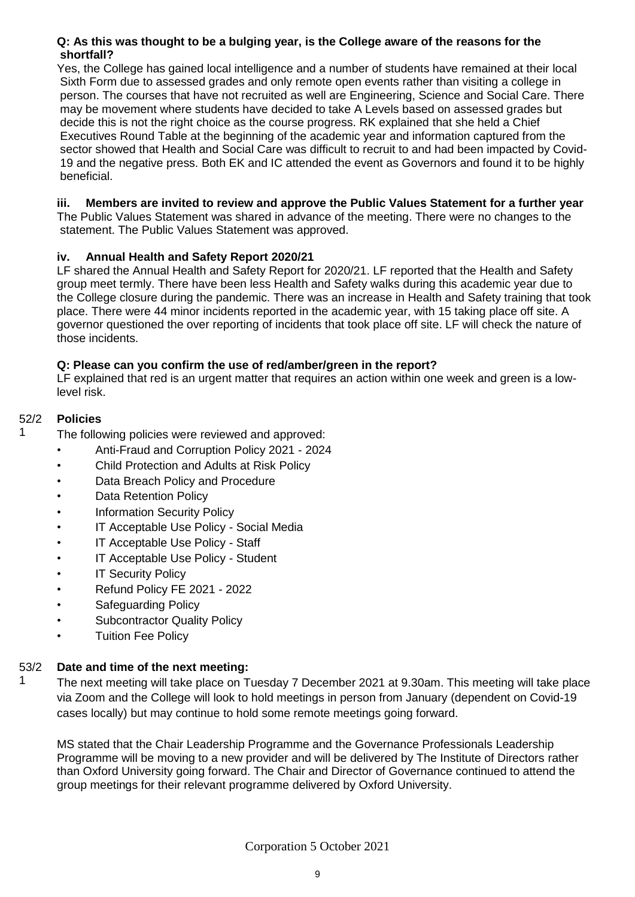## **Q: As this was thought to be a bulging year, is the College aware of the reasons for the shortfall?**

Yes, the College has gained local intelligence and a number of students have remained at their local Sixth Form due to assessed grades and only remote open events rather than visiting a college in person. The courses that have not recruited as well are Engineering, Science and Social Care. There may be movement where students have decided to take A Levels based on assessed grades but decide this is not the right choice as the course progress. RK explained that she held a Chief Executives Round Table at the beginning of the academic year and information captured from the sector showed that Health and Social Care was difficult to recruit to and had been impacted by Covid-19 and the negative press. Both EK and IC attended the event as Governors and found it to be highly beneficial.

## **iii. Members are invited to review and approve the Public Values Statement for a further year**

The Public Values Statement was shared in advance of the meeting. There were no changes to the statement. The Public Values Statement was approved.

## **iv. Annual Health and Safety Report 2020/21**

LF shared the Annual Health and Safety Report for 2020/21. LF reported that the Health and Safety group meet termly. There have been less Health and Safety walks during this academic year due to the College closure during the pandemic. There was an increase in Health and Safety training that took place. There were 44 minor incidents reported in the academic year, with 15 taking place off site. A governor questioned the over reporting of incidents that took place off site. LF will check the nature of those incidents.

## **Q: Please can you confirm the use of red/amber/green in the report?**

LF explained that red is an urgent matter that requires an action within one week and green is a lowlevel risk.

#### 52/2 **Policies**

1

The following policies were reviewed and approved:

- Anti-Fraud and Corruption Policy 2021 2024
- Child Protection and Adults at Risk Policy
- Data Breach Policy and Procedure
- **Data Retention Policy**
- **Information Security Policy**
- IT Acceptable Use Policy Social Media
- IT Acceptable Use Policy Staff
- IT Acceptable Use Policy Student
- **IT Security Policy**
- Refund Policy FE 2021 2022
- Safeguarding Policy
- Subcontractor Quality Policy
- Tuition Fee Policy

#### 53/2 **Date and time of the next meeting:**

1 The next meeting will take place on Tuesday 7 December 2021 at 9.30am. This meeting will take place via Zoom and the College will look to hold meetings in person from January (dependent on Covid-19 cases locally) but may continue to hold some remote meetings going forward.

MS stated that the Chair Leadership Programme and the Governance Professionals Leadership Programme will be moving to a new provider and will be delivered by The Institute of Directors rather than Oxford University going forward. The Chair and Director of Governance continued to attend the group meetings for their relevant programme delivered by Oxford University.